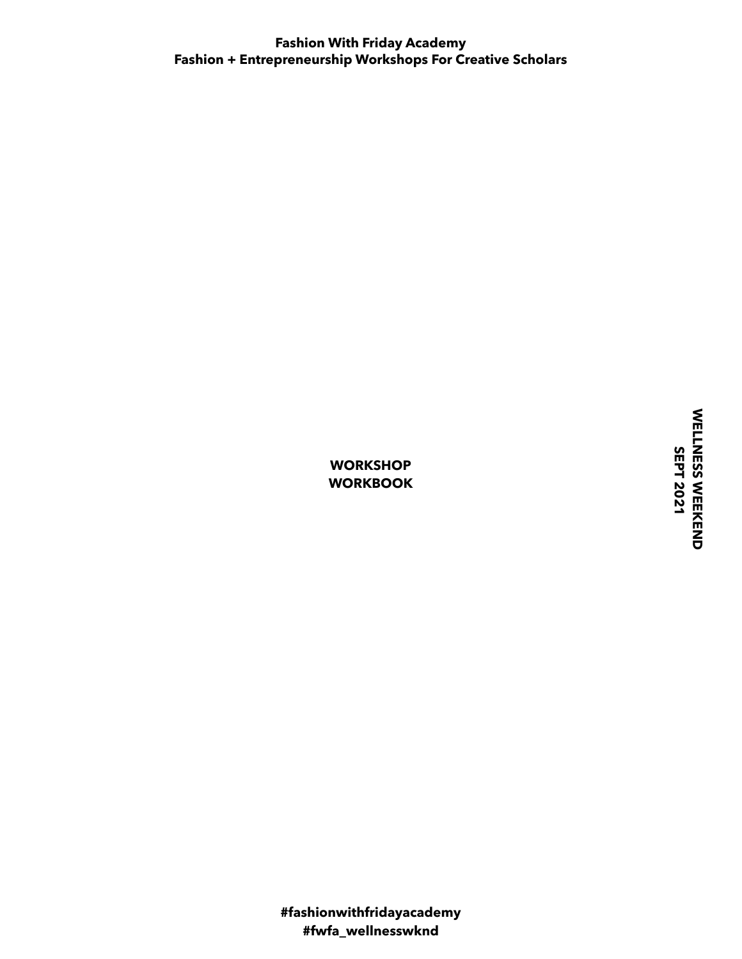WELLNESS WEEKEND<br>SEPT 2021 WELLNESS WEEKEND  **SEPT 2021**

**WORKSHOP WORKBOOK**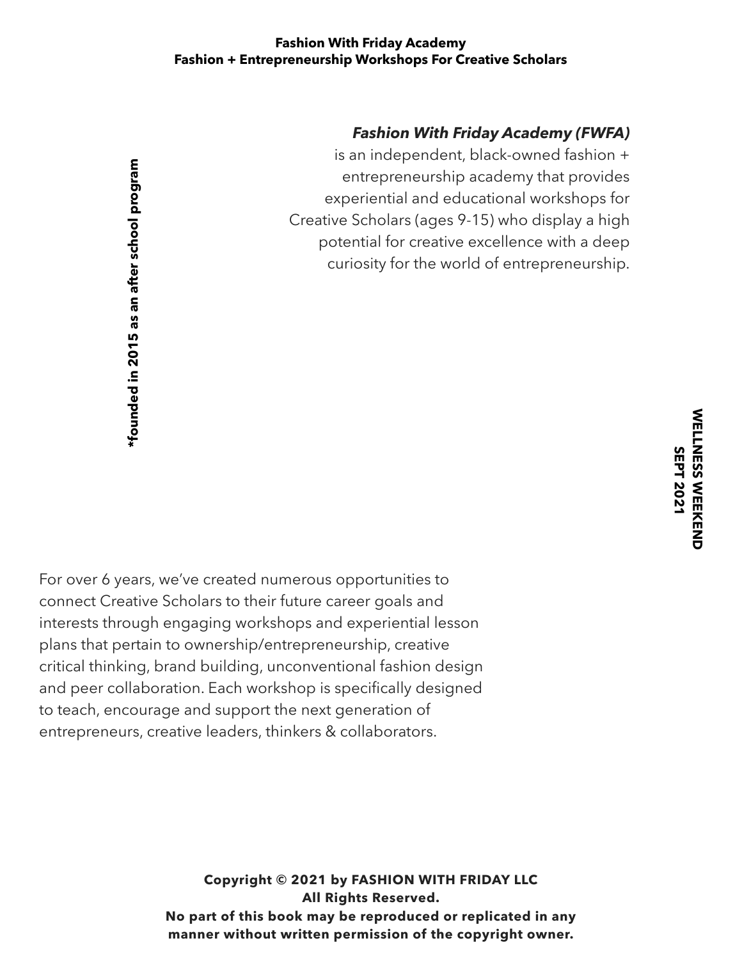# *Fashion With Friday Academy (FWFA)*

is an independent, black-owned fashion + entrepreneurship academy that provides experiential and educational workshops for Creative Scholars (ages 9-15) who display a high potential for creative excellence with a deep curiosity for the world of entrepreneurship.

For over 6 years, we've created numerous opportunities to connect Creative Scholars to their future career goals and interests through engaging workshops and experiential lesson plans that pertain to ownership/entrepreneurship, creative critical thinking, brand building, unconventional fashion design and peer collaboration. Each workshop is specifically designed to teach, encourage and support the next generation of entrepreneurs, creative leaders, thinkers & collaborators. **\*founded in 2015 as an after school program** 

> **Copyright © 2021 by FASHION WITH FRIDAY LLC All Rights Reserved. No part of this book may be reproduced or replicated in any manner without written permission of the copyright owner.**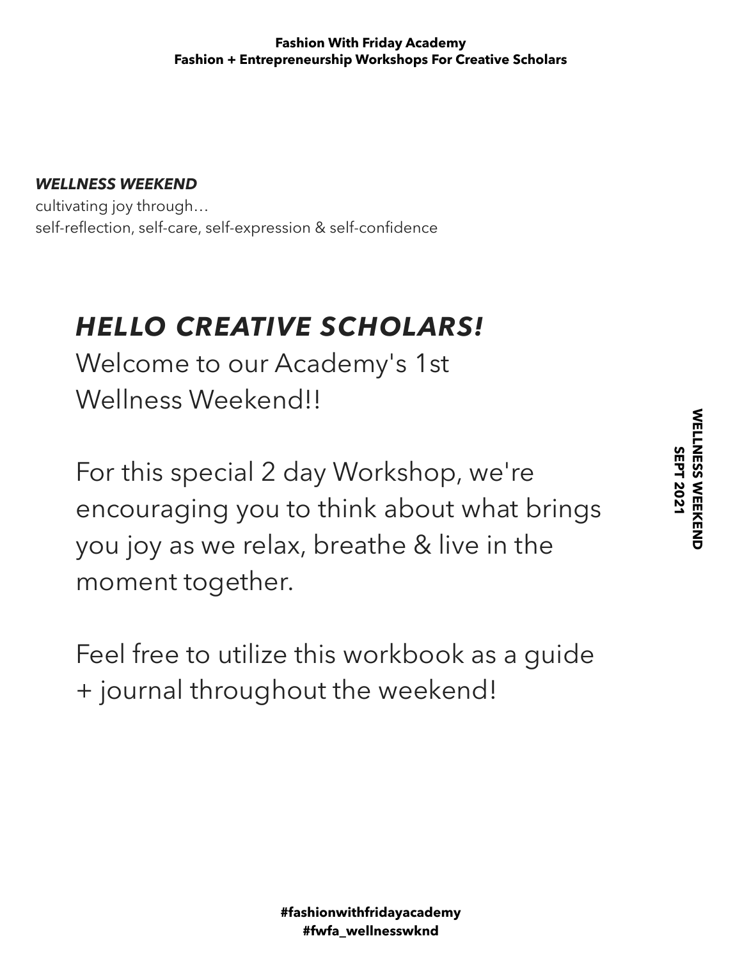# *WELLNESS WEEKEND*

cultivating joy through… self-reflection, self-care, self-expression & self-confidence

# *HELLO CREATIVE SCHOLARS!*

Welcome to our Academy's 1st Wellness Weekend!!

For this special 2 day Workshop, we're encouraging you to think about what brings you joy as we relax, breathe & live in the moment together.

Feel free to utilize this workbook as a guide + journal throughout the weekend!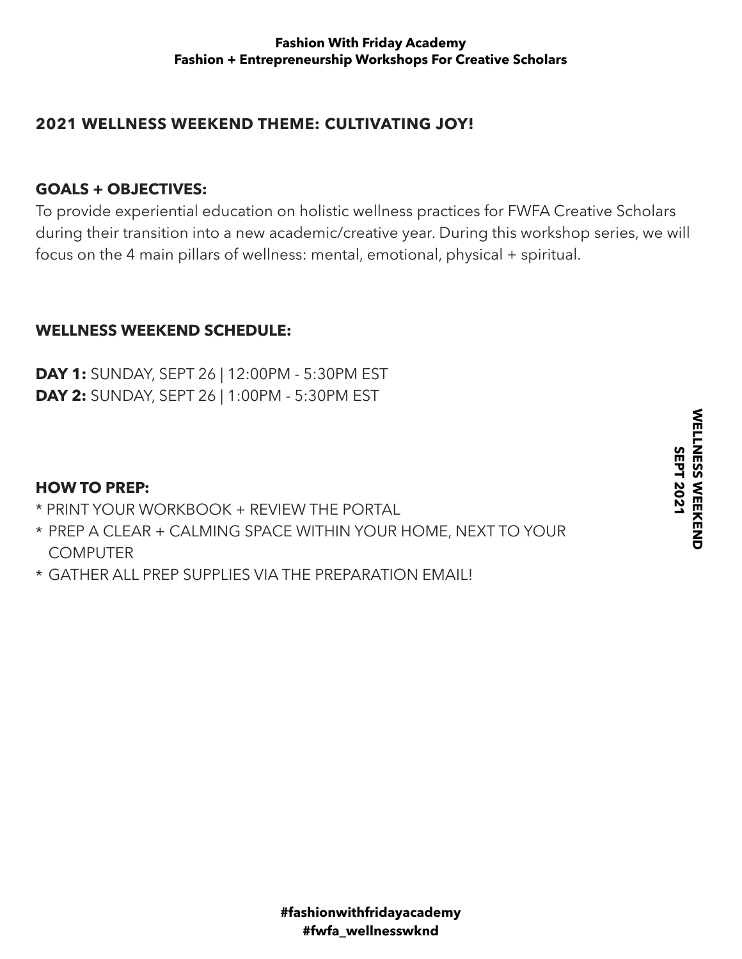# **2021 WELLNESS WEEKEND THEME: CULTIVATING JOY!**

# **GOALS + OBJECTIVES:**

To provide experiential education on holistic wellness practices for FWFA Creative Scholars during their transition into a new academic/creative year. During this workshop series, we will focus on the 4 main pillars of wellness: mental, emotional, physical + spiritual.

# **WELLNESS WEEKEND SCHEDULE:**

**DAY 1:** SUNDAY, SEPT 26 | 12:00PM - 5:30PM EST **DAY 2:** SUNDAY, SEPT 26 | 1:00PM - 5:30PM EST

# **HOW TO PREP:**

- \* PRINT YOUR WORKBOOK + REVIEW THE PORTAL
- \* PREP A CLEAR + CALMING SPACE WITHIN YOUR HOME, NEXT TO YOUR **COMPUTER**
- \* GATHER ALL PREP SUPPLIES VIA THE PREPARATION EMAIL!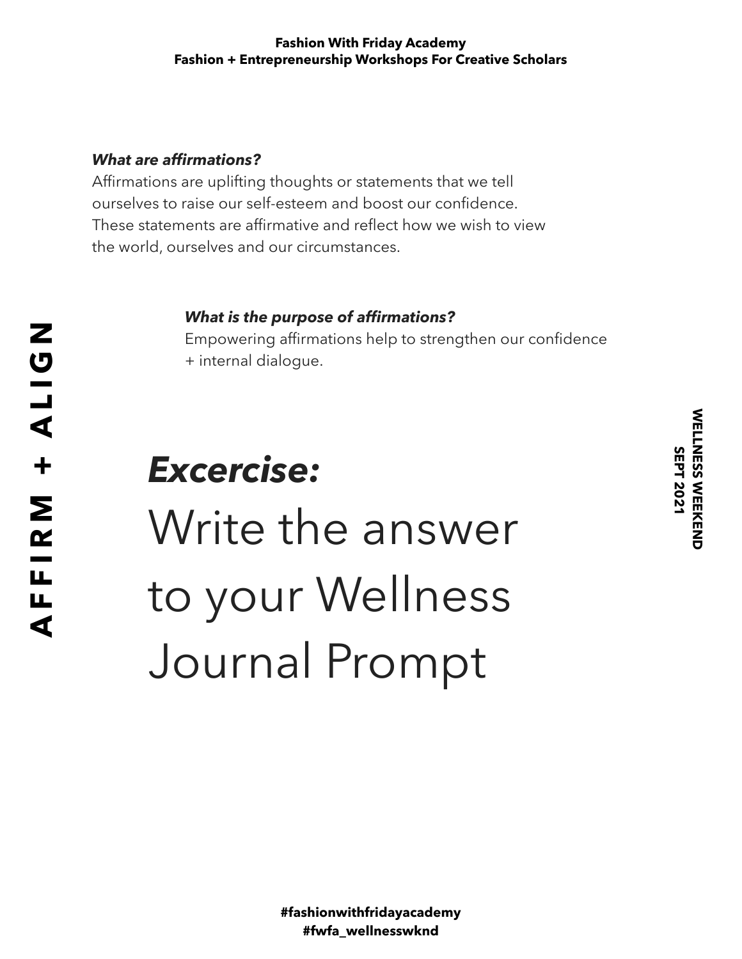# *What are affirmations?*

Affirmations are uplifting thoughts or statements that we tell ourselves to raise our self-esteem and boost our confidence. These statements are affirmative and reflect how we wish to view the world, ourselves and our circumstances.

# *What is the purpose of affirmations?*

Empowering affirmations help to strengthen our confidence + internal dialogue.

# *Excercise:*  Write the answer to your Wellness Journal Prompt

WELLNESS WEEKEND  **SEPT 2021**

**WELLNESS WEEKEND SEPT 2021**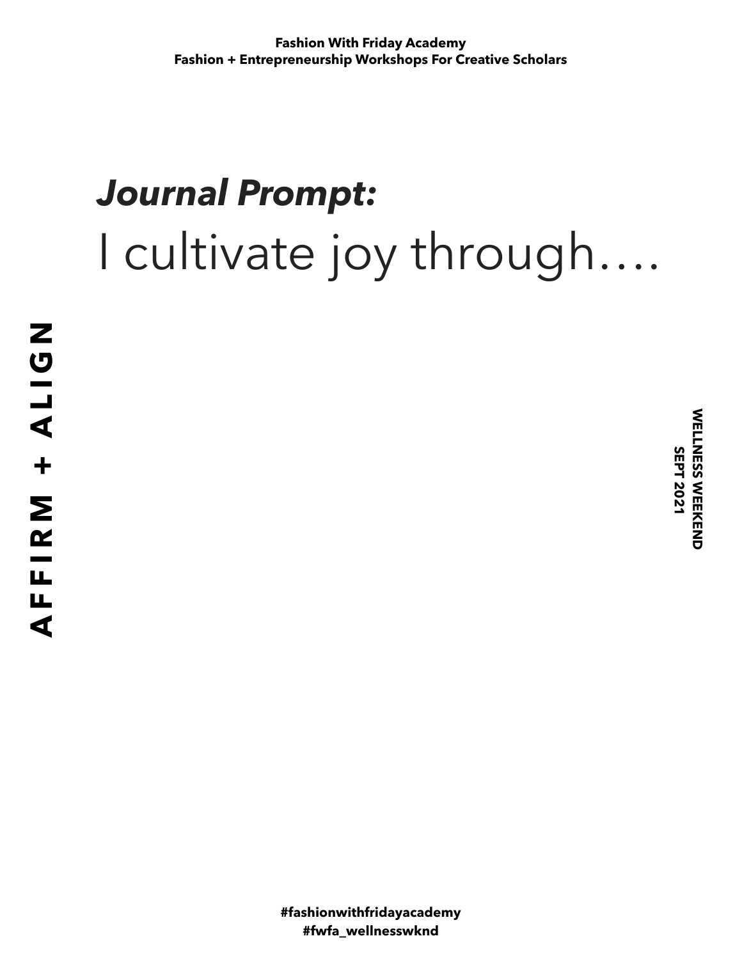# *Journal Prompt:*  I cultivate joy through….

**WELLNESS WEEKEND<br>SEPT 2021** WELLNESS WEEKEND  **SEPT 2021**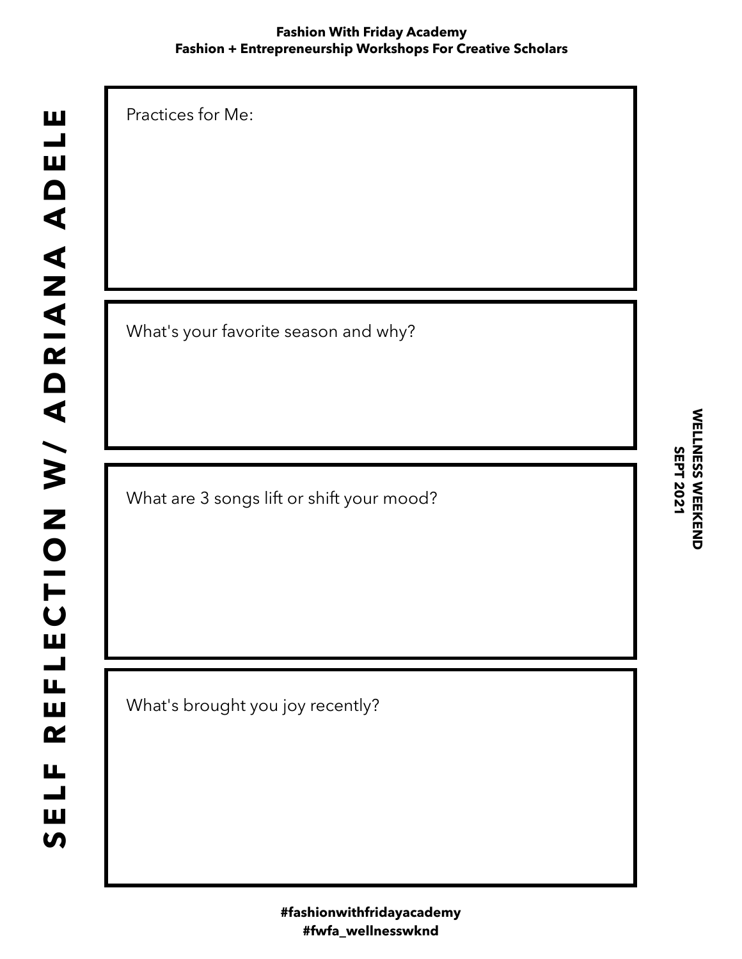Practices for Me:

What's your favorite season and why?

What are 3 songs lift or shift your mood?

What's brought you joy recently?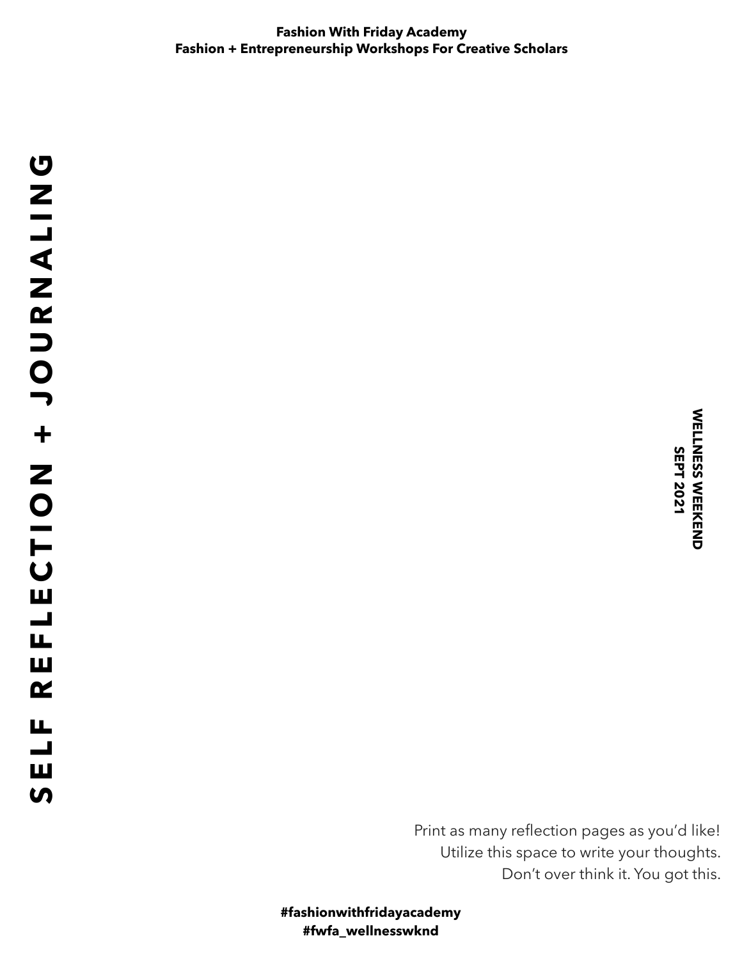Print as many reflection pages as you'd like! Utilize this space to write your thoughts. Don't over think it. You got this.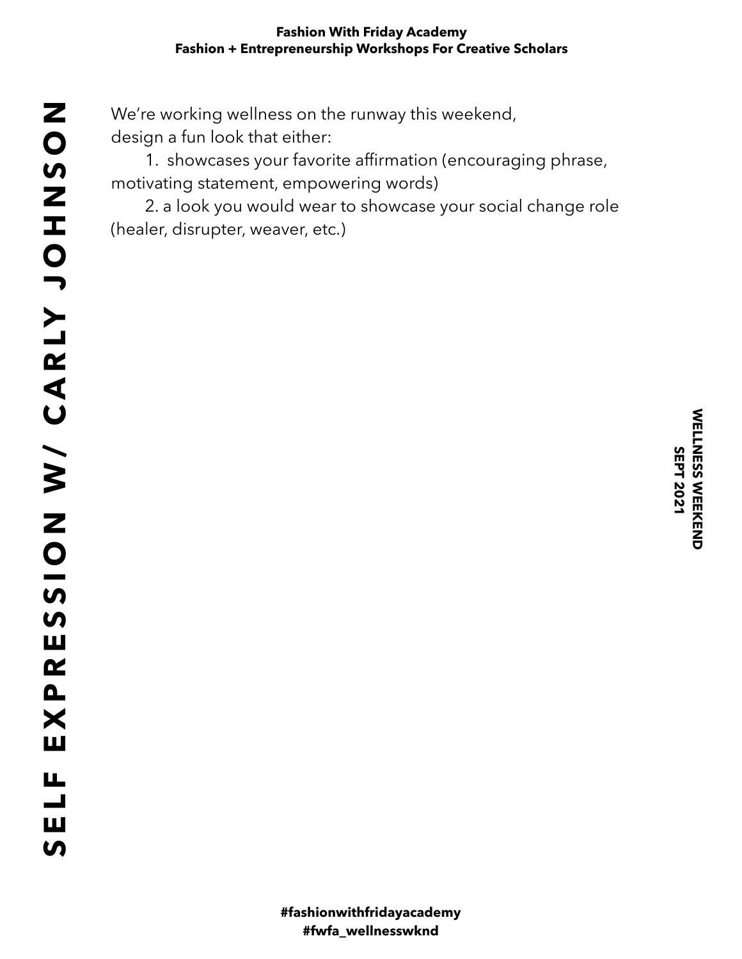We're working wellness on the runway this weekend, design a fun look that either:

 1. showcases your favorite affirmation (encouraging phrase, motivating statement, empowering words)

 2. a look you would wear to showcase your social change role (healer, disrupter, weaver, etc.)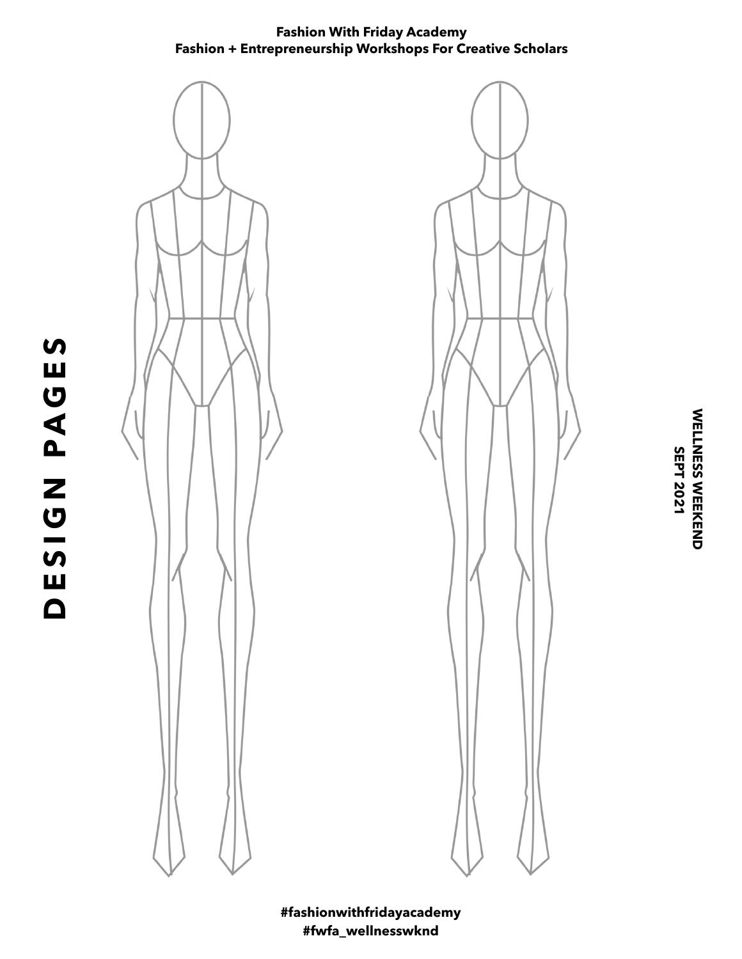

**DESIGN PAGES**

DESIGN PAGES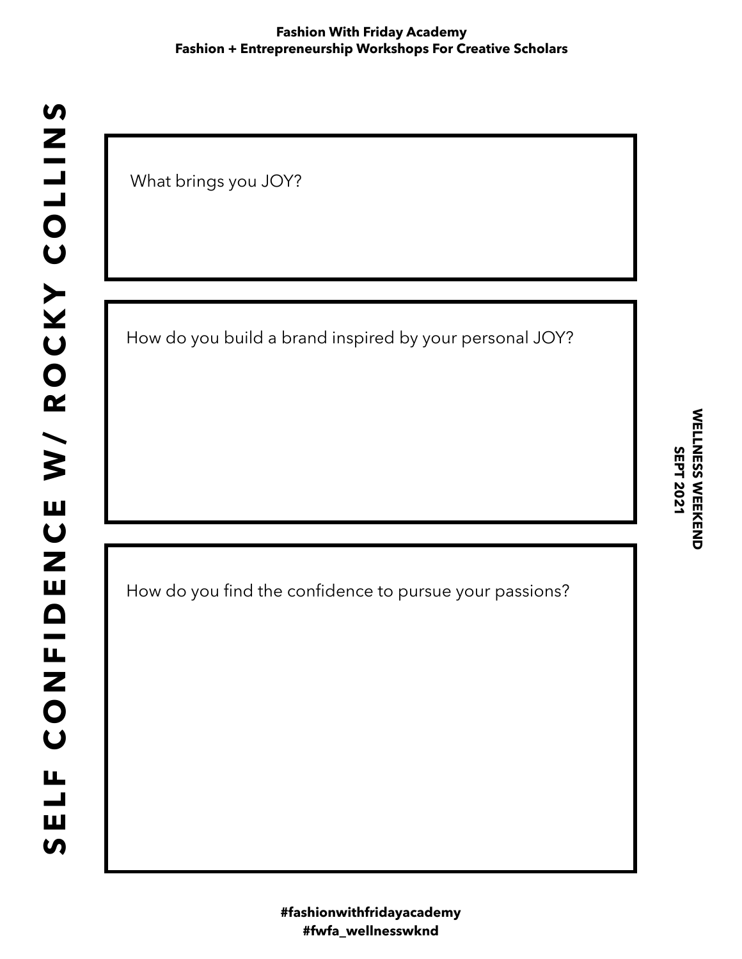What brings you JOY?

How do you build a brand inspired by your personal JOY?

How do you find the confidence to pursue your passions?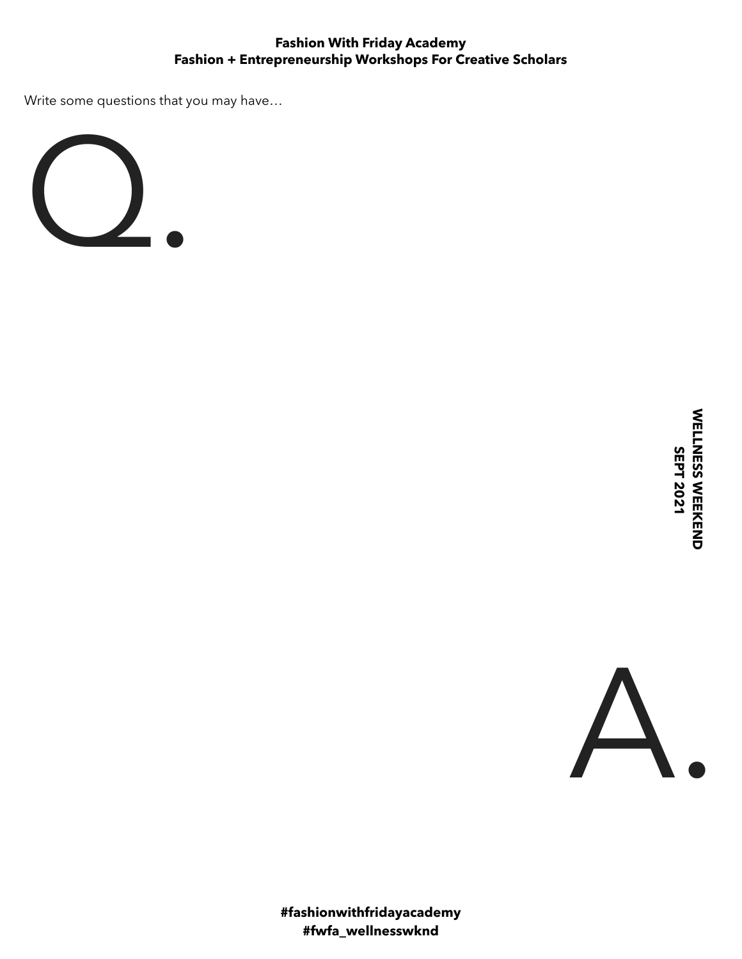Write some questions that you may have…